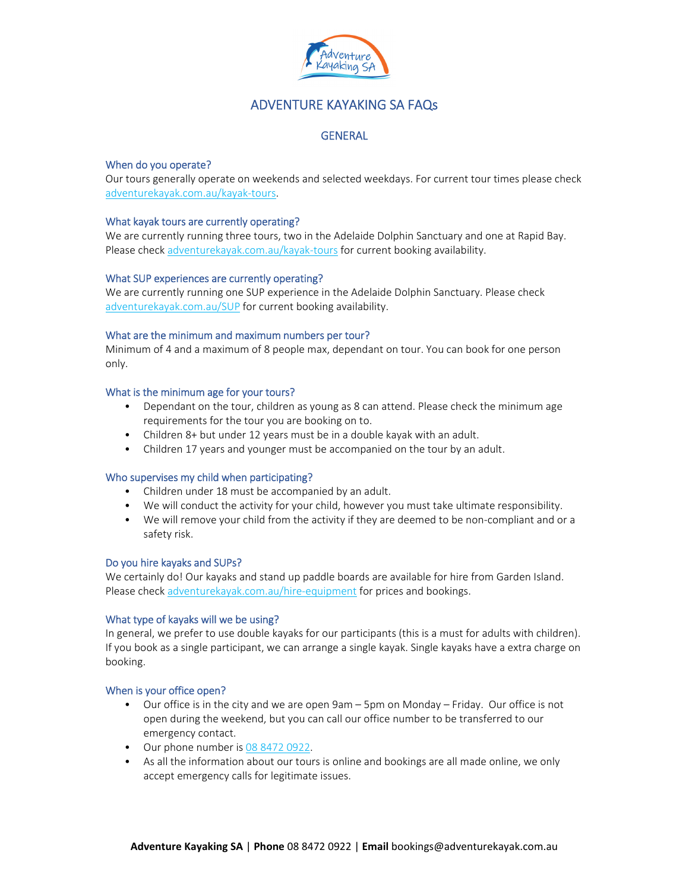

# ADVENTURE KAYAKING SA FAQs

# **GENERAL**

# When do you operate?

Our tours generally operate on weekends and selected weekdays. For current tour times please check adventurekayak.com.au/kayak‐tours.

### What kayak tours are currently operating?

We are currently running three tours, two in the Adelaide Dolphin Sanctuary and one at Rapid Bay. Please check adventurekayak.com.au/kayak-tours for current booking availability.

### What SUP experiences are currently operating?

We are currently running one SUP experience in the Adelaide Dolphin Sanctuary. Please check adventurekayak.com.au/SUP for current booking availability.

### What are the minimum and maximum numbers per tour?

Minimum of 4 and a maximum of 8 people max, dependant on tour. You can book for one person only.

### What is the minimum age for your tours?

- Dependant on the tour, children as young as 8 can attend. Please check the minimum age requirements for the tour you are booking on to.
- Children 8+ but under 12 years must be in a double kayak with an adult.
- Children 17 years and younger must be accompanied on the tour by an adult.

# Who supervises my child when participating?

- Children under 18 must be accompanied by an adult.
- We will conduct the activity for your child, however you must take ultimate responsibility.
- We will remove your child from the activity if they are deemed to be non-compliant and or a safety risk.

### Do you hire kayaks and SUPs?

We certainly do! Our kayaks and stand up paddle boards are available for hire from Garden Island. Please check adventurekayak.com.au/hire‐equipment for prices and bookings.

### What type of kayaks will we be using?

In general, we prefer to use double kayaks for our participants (this is a must for adults with children). If you book as a single participant, we can arrange a single kayak. Single kayaks have a extra charge on booking.

### When is your office open?

- Our office is in the city and we are open 9am 5pm on Monday Friday. Our office is not open during the weekend, but you can call our office number to be transferred to our emergency contact.
- Our phone number is 08 8472 0922.
- As all the information about our tours is online and bookings are all made online, we only accept emergency calls for legitimate issues.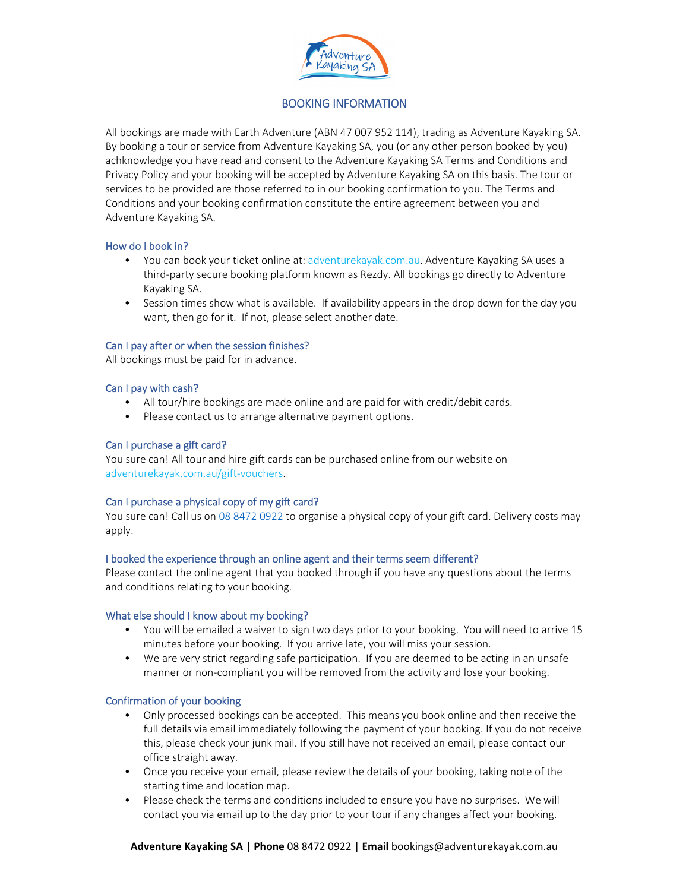

# BOOKING INFORMATION

All bookings are made with Earth Adventure (ABN 47 007 952 114), trading as Adventure Kayaking SA. By booking a tour or service from Adventure Kayaking SA, you (or any other person booked by you) achknowledge you have read and consent to the Adventure Kayaking SA Terms and Conditions and Privacy Policy and your booking will be accepted by Adventure Kayaking SA on this basis. The tour or services to be provided are those referred to in our booking confirmation to you. The Terms and Conditions and your booking confirmation constitute the entire agreement between you and Adventure Kayaking SA.

### How do I book in?

- You can book your ticket online at: adventurekayak.com.au. Adventure Kayaking SA uses a third‐party secure booking platform known as Rezdy. All bookings go directly to Adventure Kayaking SA.
- Session times show what is available. If availability appears in the drop down for the day you want, then go for it. If not, please select another date.

### Can I pay after or when the session finishes?

All bookings must be paid for in advance.

### Can I pay with cash?

- All tour/hire bookings are made online and are paid for with credit/debit cards.
- Please contact us to arrange alternative payment options.

### Can I purchase a gift card?

You sure can! All tour and hire gift cards can be purchased online from our website on adventurekayak.com.au/gift‐vouchers.

# Can I purchase a physical copy of my gift card?

You sure can! Call us on 08 8472 0922 to organise a physical copy of your gift card. Delivery costs may apply.

### I booked the experience through an online agent and their terms seem different?

Please contact the online agent that you booked through if you have any questions about the terms and conditions relating to your booking.

### What else should I know about my booking?

- You will be emailed a waiver to sign two days prior to your booking. You will need to arrive 15 minutes before your booking. If you arrive late, you will miss your session.
- We are very strict regarding safe participation. If you are deemed to be acting in an unsafe manner or non-compliant you will be removed from the activity and lose your booking.

### Confirmation of your booking

- Only processed bookings can be accepted. This means you book online and then receive the full details via email immediately following the payment of your booking. If you do not receive this, please check your junk mail. If you still have not received an email, please contact our office straight away.
- Once you receive your email, please review the details of your booking, taking note of the starting time and location map.
- Please check the terms and conditions included to ensure you have no surprises. We will contact you via email up to the day prior to your tour if any changes affect your booking.

# **Adventure Kayaking SA** | **Phone** 08 8472 0922 | **Email** bookings@adventurekayak.com.au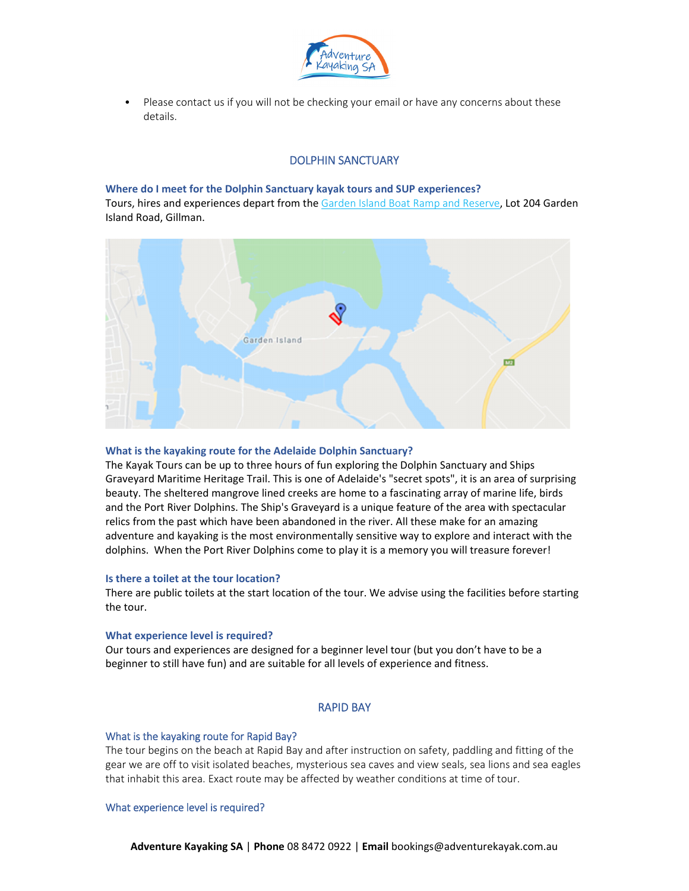

• Please contact us if you will not be checking your email or have any concerns about these details.

# DOLPHIN SANCTUARY

#### **Where do I meet for the Dolphin Sanctuary kayak tours and SUP experiences?**

Tours, hires and experiences depart from the Garden Island Boat Ramp and Reserve, Lot 204 Garden Island Road, Gillman.



### **What is the kayaking route for the Adelaide Dolphin Sanctuary?**

The Kayak Tours can be up to three hours of fun exploring the Dolphin Sanctuary and Ships Graveyard Maritime Heritage Trail. This is one of Adelaide's "secret spots", it is an area of surprising beauty. The sheltered mangrove lined creeks are home to a fascinating array of marine life, birds and the Port River Dolphins. The Ship's Graveyard is a unique feature of the area with spectacular relics from the past which have been abandoned in the river. All these make for an amazing adventure and kayaking is the most environmentally sensitive way to explore and interact with the dolphins. When the Port River Dolphins come to play it is a memory you will treasure forever!

### **Is there a toilet at the tour location?**

There are public toilets at the start location of the tour. We advise using the facilities before starting the tour.

#### **What experience level is required?**

Our tours and experiences are designed for a beginner level tour (but you don't have to be a beginner to still have fun) and are suitable for all levels of experience and fitness.

### RAPID BAY

### What is the kayaking route for Rapid Bay?

The tour begins on the beach at Rapid Bay and after instruction on safety, paddling and fitting of the gear we are off to visit isolated beaches, mysterious sea caves and view seals, sea lions and sea eagles that inhabit this area. Exact route may be affected by weather conditions at time of tour.

#### What experience level is required?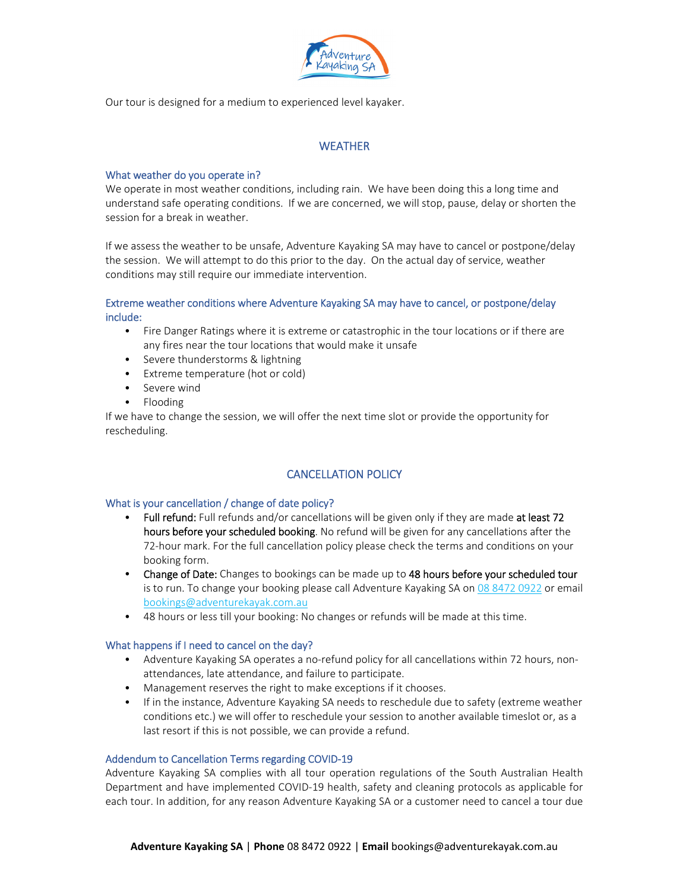

Our tour is designed for a medium to experienced level kayaker.

# **WEATHER**

# What weather do you operate in?

We operate in most weather conditions, including rain. We have been doing this a long time and understand safe operating conditions. If we are concerned, we will stop, pause, delay or shorten the session for a break in weather.

If we assess the weather to be unsafe, Adventure Kayaking SA may have to cancel or postpone/delay the session. We will attempt to do this prior to the day. On the actual day of service, weather conditions may still require our immediate intervention.

# Extreme weather conditions where Adventure Kayaking SA may have to cancel, or postpone/delay include:

- Fire Danger Ratings where it is extreme or catastrophic in the tour locations or if there are any fires near the tour locations that would make it unsafe
- Severe thunderstorms & lightning
- Extreme temperature (hot or cold)
- Severe wind
- Flooding

If we have to change the session, we will offer the next time slot or provide the opportunity for rescheduling.

# CANCELLATION POLICY

# What is your cancellation / change of date policy?

- Full refund: Full refunds and/or cancellations will be given only if they are made at least 72 hours before your scheduled booking. No refund will be given for any cancellations after the 72‐hour mark. For the full cancellation policy please check the terms and conditions on your booking form.
- Change of Date: Changes to bookings can be made up to 48 hours before your scheduled tour is to run. To change your booking please call Adventure Kayaking SA on 08 8472 0922 or email bookings@adventurekayak.com.au
- 48 hours or less till your booking: No changes or refunds will be made at this time.

# What happens if I need to cancel on the day?

- Adventure Kayaking SA operates a no-refund policy for all cancellations within 72 hours, nonattendances, late attendance, and failure to participate.
- Management reserves the right to make exceptions if it chooses.
- If in the instance, Adventure Kayaking SA needs to reschedule due to safety (extreme weather conditions etc.) we will offer to reschedule your session to another available timeslot or, as a last resort if this is not possible, we can provide a refund.

# Addendum to Cancellation Terms regarding COVID‐19

Adventure Kayaking SA complies with all tour operation regulations of the South Australian Health Department and have implemented COVID‐19 health, safety and cleaning protocols as applicable for each tour. In addition, for any reason Adventure Kayaking SA or a customer need to cancel a tour due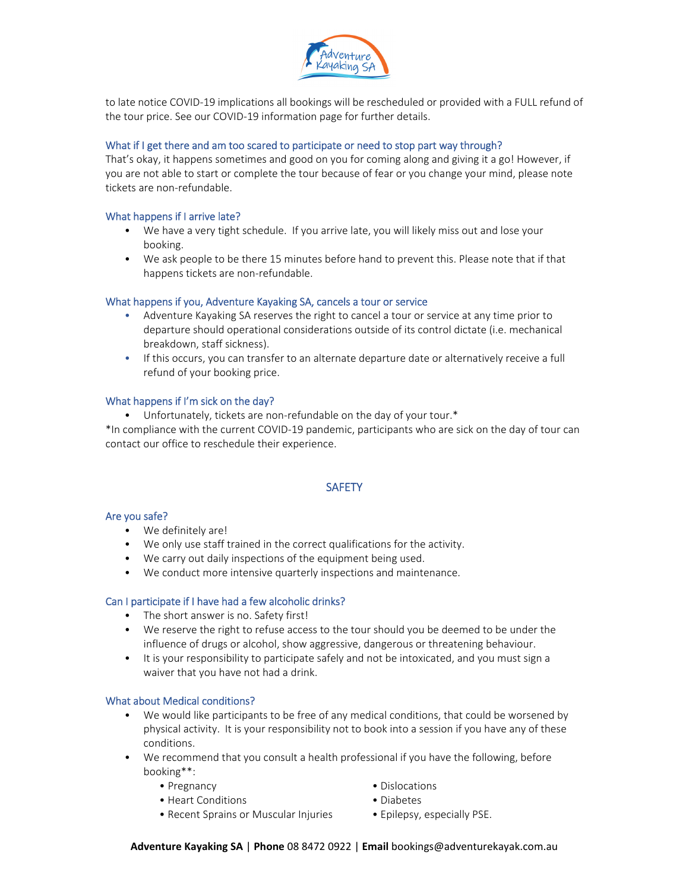

to late notice COVID‐19 implications all bookings will be rescheduled or provided with a FULL refund of the tour price. See our COVID‐19 information page for further details.

### What if I get there and am too scared to participate or need to stop part way through?

That's okay, it happens sometimes and good on you for coming along and giving it a go! However, if you are not able to start or complete the tour because of fear or you change your mind, please note tickets are non‐refundable.

### What happens if I arrive late?

- We have a very tight schedule. If you arrive late, you will likely miss out and lose your booking.
- We ask people to be there 15 minutes before hand to prevent this. Please note that if that happens tickets are non‐refundable.

### What happens if you, Adventure Kayaking SA, cancels a tour or service

- Adventure Kayaking SA reserves the right to cancel a tour or service at any time prior to departure should operational considerations outside of its control dictate (i.e. mechanical breakdown, staff sickness).
- If this occurs, you can transfer to an alternate departure date or alternatively receive a full refund of your booking price.

### What happens if I'm sick on the day?

• Unfortunately, tickets are non‐refundable on the day of your tour.\*

\*In compliance with the current COVID‐19 pandemic, participants who are sick on the day of tour can contact our office to reschedule their experience.

# **SAFETY**

### Are you safe?

- We definitely are!
- We only use staff trained in the correct qualifications for the activity.
- We carry out daily inspections of the equipment being used.
- We conduct more intensive quarterly inspections and maintenance.

### Can I participate if I have had a few alcoholic drinks?

- The short answer is no. Safety first!
- We reserve the right to refuse access to the tour should you be deemed to be under the influence of drugs or alcohol, show aggressive, dangerous or threatening behaviour.
- It is your responsibility to participate safely and not be intoxicated, and you must sign a waiver that you have not had a drink.

### What about Medical conditions?

- We would like participants to be free of any medical conditions, that could be worsened by physical activity. It is your responsibility not to book into a session if you have any of these conditions.
- We recommend that you consult a health professional if you have the following, before booking\*\*:
	- Pregnancy  **Pregnancy** Dislocations
	- Heart Conditions Diabetes
- -
	- Recent Sprains or Muscular Injuries Epilepsy, especially PSE.
- 

**Adventure Kayaking SA** | **Phone** 08 8472 0922 | **Email** bookings@adventurekayak.com.au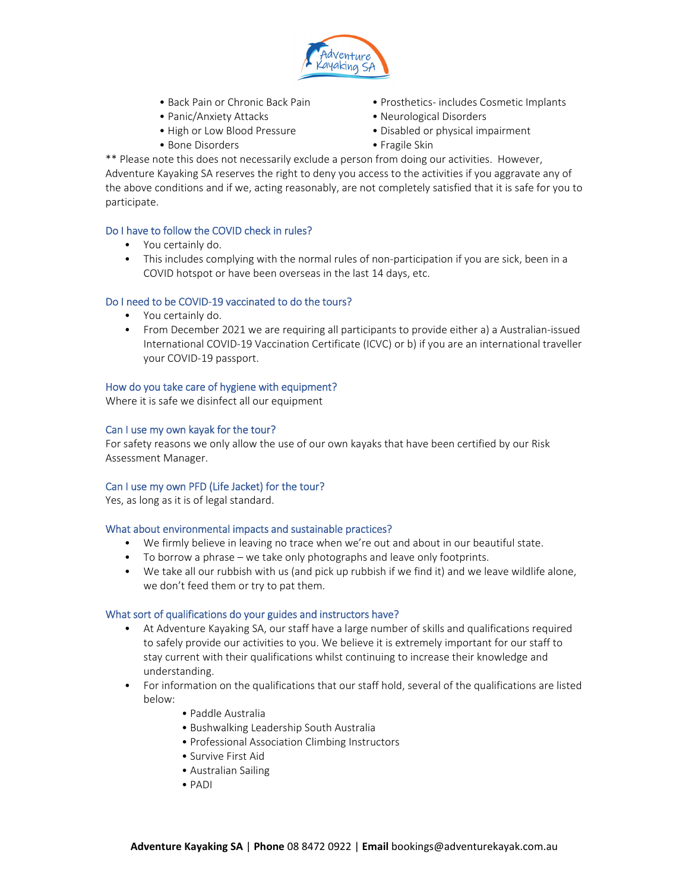

- 
- 
- 
- 
- Back Pain or Chronic Back Pain Prosthetics‐ includes Cosmetic Implants
- Panic/Anxiety Attacks Neurological Disorders
- High or Low Blood Pressure **•** Disabled or physical impairment
- Bone Disorders **Canadian Control •** Fragile Skin

\*\* Please note this does not necessarily exclude a person from doing our activities. However, Adventure Kayaking SA reserves the right to deny you access to the activities if you aggravate any of the above conditions and if we, acting reasonably, are not completely satisfied that it is safe for you to participate.

# Do I have to follow the COVID check in rules?

- You certainly do.
- This includes complying with the normal rules of non-participation if you are sick, been in a COVID hotspot or have been overseas in the last 14 days, etc.

# Do I need to be COVID‐19 vaccinated to do the tours?

- You certainly do.
- From December 2021 we are requiring all participants to provide either a) a Australian-issued International COVID-19 Vaccination Certificate (ICVC) or b) if you are an international traveller your COVID‐19 passport.

### How do you take care of hygiene with equipment?

Where it is safe we disinfect all our equipment

### Can I use my own kayak for the tour?

For safety reasons we only allow the use of our own kayaks that have been certified by our Risk Assessment Manager.

# Can I use my own PFD (Life Jacket) for the tour?

Yes, as long as it is of legal standard.

# What about environmental impacts and sustainable practices?

- We firmly believe in leaving no trace when we're out and about in our beautiful state.
- To borrow a phrase we take only photographs and leave only footprints.
- We take all our rubbish with us (and pick up rubbish if we find it) and we leave wildlife alone, we don't feed them or try to pat them.

### What sort of qualifications do your guides and instructors have?

- At Adventure Kayaking SA, our staff have a large number of skills and qualifications required to safely provide our activities to you. We believe it is extremely important for our staff to stay current with their qualifications whilst continuing to increase their knowledge and understanding.
- For information on the qualifications that our staff hold, several of the qualifications are listed below:
	- Paddle Australia
	- Bushwalking Leadership South Australia
	- Professional Association Climbing Instructors
	- Survive First Aid
	- Australian Sailing
	- PADI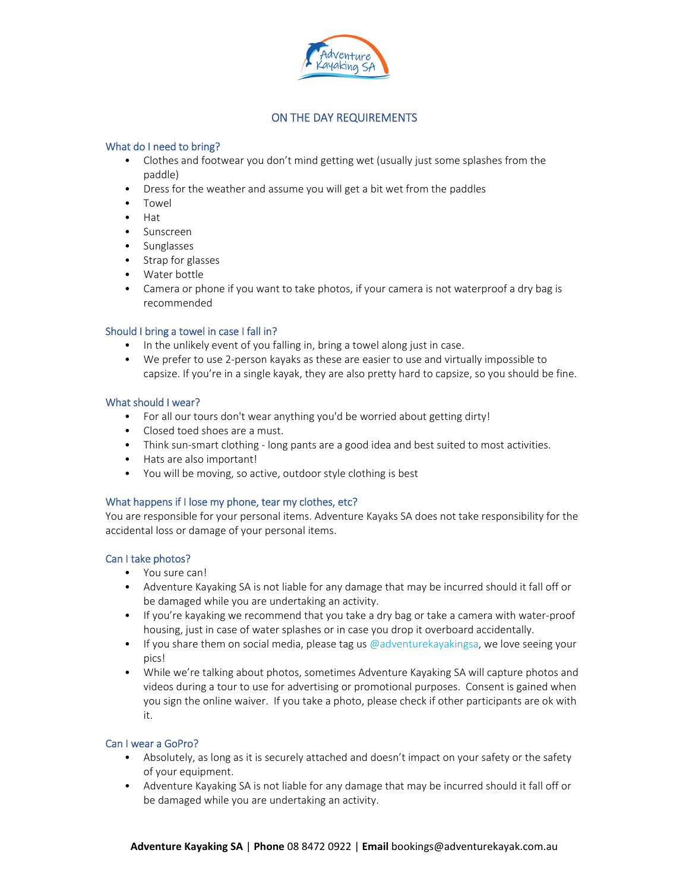

# ON THE DAY REQUIREMENTS

# What do I need to bring?

- Clothes and footwear you don't mind getting wet (usually just some splashes from the paddle)
- Dress for the weather and assume you will get a bit wet from the paddles
- Towel
- Hat
- Sunscreen
- Sunglasses
- Strap for glasses
- Water bottle
- Camera or phone if you want to take photos, if your camera is not waterproof a dry bag is recommended

# Should I bring a towel in case I fall in?

- In the unlikely event of you falling in, bring a towel along just in case.
- We prefer to use 2-person kayaks as these are easier to use and virtually impossible to capsize. If you're in a single kayak, they are also pretty hard to capsize, so you should be fine.

# What should I wear?

- For all our tours don't wear anything you'd be worried about getting dirty!
- Closed toed shoes are a must.
- Think sun-smart clothing long pants are a good idea and best suited to most activities.
- Hats are also important!
- You will be moving, so active, outdoor style clothing is best

# What happens if I lose my phone, tear my clothes, etc?

You are responsible for your personal items. Adventure Kayaks SA does not take responsibility for the accidental loss or damage of your personal items.

# Can I take photos?

- You sure can!
- Adventure Kayaking SA is not liable for any damage that may be incurred should it fall off or be damaged while you are undertaking an activity.
- If you're kayaking we recommend that you take a dry bag or take a camera with water-proof housing, just in case of water splashes or in case you drop it overboard accidentally.
- If you share them on social media, please tag us @adventurekayakingsa, we love seeing your pics!
- While we're talking about photos, sometimes Adventure Kayaking SA will capture photos and videos during a tour to use for advertising or promotional purposes. Consent is gained when you sign the online waiver. If you take a photo, please check if other participants are ok with it.

# Can I wear a GoPro?

- Absolutely, as long as it is securely attached and doesn't impact on your safety or the safety of your equipment.
- Adventure Kayaking SA is not liable for any damage that may be incurred should it fall off or be damaged while you are undertaking an activity.